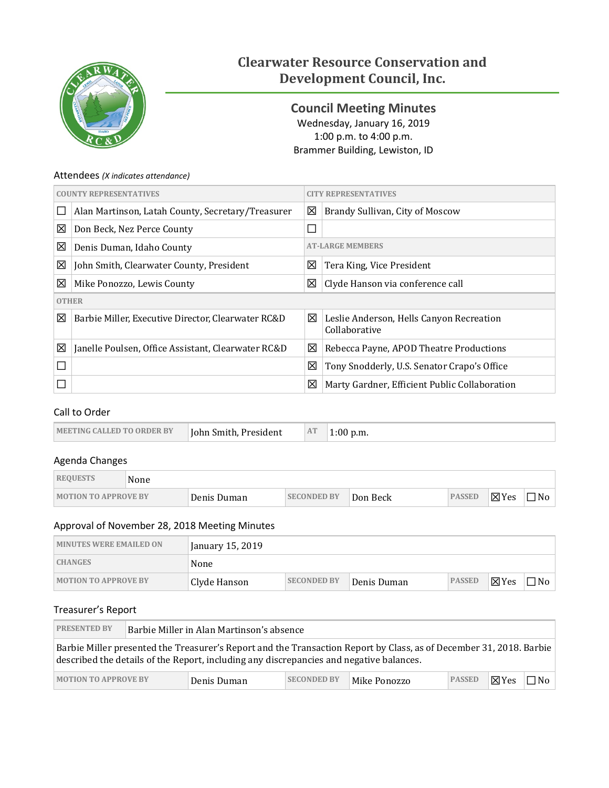

# **Clearwater Resource Conservation and Development Council, Inc.**

<span id="page-0-0"></span>**Council Meeting Minutes** Wednesday, January 16, 2019 1:00 p.m. to 4:00 p.m. Brammer Building, Lewiston, ID

### Attendees *(X indicates attendance)*

| <b>COUNTY REPRESENTATIVES</b> |                                                    | <b>Y REPRESENTATIVES</b> |                                                           |  |  |
|-------------------------------|----------------------------------------------------|--------------------------|-----------------------------------------------------------|--|--|
|                               | Alan Martinson, Latah County, Secretary/Treasurer  | 区                        | Brandy Sullivan, City of Moscow                           |  |  |
| ⊠                             | Don Beck, Nez Perce County                         | $\Box$                   |                                                           |  |  |
| 図                             | Denis Duman, Idaho County                          |                          | <b>AT-LARGE MEMBERS</b>                                   |  |  |
| 図                             | John Smith, Clearwater County, President           | 区                        | Tera King, Vice President                                 |  |  |
| ⊠                             | Mike Ponozzo, Lewis County                         | 区                        | Clyde Hanson via conference call                          |  |  |
|                               | <b>OTHER</b>                                       |                          |                                                           |  |  |
| 図                             | Barbie Miller, Executive Director, Clearwater RC&D | ⊠                        | Leslie Anderson, Hells Canyon Recreation<br>Collaborative |  |  |
| 図                             | Janelle Poulsen, Office Assistant, Clearwater RC&D | 区                        | Rebecca Payne, APOD Theatre Productions                   |  |  |
|                               |                                                    | 区                        | Tony Snodderly, U.S. Senator Crapo's Office               |  |  |
|                               |                                                    | 区                        | Marty Gardner, Efficient Public Collaboration             |  |  |

# Call to Order

| <b>MEETING CALLED TO ORDER BY</b><br><b>John Smith, President</b> | AT | $1:00$ p.m. |
|-------------------------------------------------------------------|----|-------------|
|-------------------------------------------------------------------|----|-------------|

# Agenda Changes

| <b>REQUESTS</b>             | None |             |                    |          |               |                 |           |
|-----------------------------|------|-------------|--------------------|----------|---------------|-----------------|-----------|
| <b>MOTION TO APPROVE BY</b> |      | Denis Duman | <b>SECONDED BY</b> | Don Beck | <b>PASSED</b> | $\boxtimes$ Yes | $\neg$ No |

# Approval of November 28, 2018 Meeting Minutes

| <b>MINUTES WERE EMAILED ON</b> | January 15, 2019 |                    |             |               |                 |           |
|--------------------------------|------------------|--------------------|-------------|---------------|-----------------|-----------|
| <b>CHANGES</b>                 | None             |                    |             |               |                 |           |
| <b>MOTION TO APPROVE BY</b>    | Clyde Hanson     | <b>SECONDED BY</b> | Denis Duman | <b>PASSED</b> | $\boxtimes$ Yes | $\Box$ No |

### Treasurer's Report

| <b>PRESENTED BY</b>                                                                                                                                                                                            | Barbie Miller in Alan Martinson's absence |  |  |  |  |  |  |
|----------------------------------------------------------------------------------------------------------------------------------------------------------------------------------------------------------------|-------------------------------------------|--|--|--|--|--|--|
| Barbie Miller presented the Treasurer's Report and the Transaction Report by Class, as of December 31, 2018. Barbie<br>described the details of the Report, including any discrepancies and negative balances. |                                           |  |  |  |  |  |  |
| <b>PASSED</b><br>$\boxtimes$ Yes<br>$\Box$ No<br><b>MOTION TO APPROVE BY</b><br><b>SECONDED BY</b><br>Mike Ponozzo<br>Denis Duman                                                                              |                                           |  |  |  |  |  |  |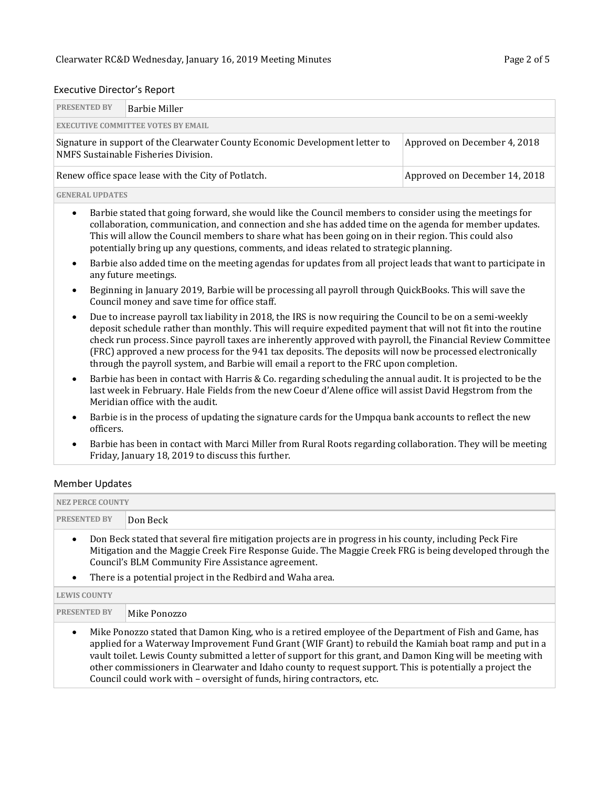### Executive Director's Report

| <b>PRESENTED BY</b>                                                                  | Barbie Miller                                                                                                                                        |  |  |  |  |  |  |  |
|--------------------------------------------------------------------------------------|------------------------------------------------------------------------------------------------------------------------------------------------------|--|--|--|--|--|--|--|
|                                                                                      | <b>EXECUTIVE COMMITTEE VOTES BY EMAIL</b>                                                                                                            |  |  |  |  |  |  |  |
|                                                                                      | Signature in support of the Clearwater County Economic Development letter to<br>Approved on December 4, 2018<br>NMFS Sustainable Fisheries Division. |  |  |  |  |  |  |  |
| Renew office space lease with the City of Potlatch.<br>Approved on December 14, 2018 |                                                                                                                                                      |  |  |  |  |  |  |  |
|                                                                                      |                                                                                                                                                      |  |  |  |  |  |  |  |

#### **GENERAL UPDATES**

• Barbie stated that going forward, she would like the Council members to consider using the meetings for collaboration, communication, and connection and she has added time on the agenda for member updates. This will allow the Council members to share what has been going on in their region. This could also potentially bring up any questions, comments, and ideas related to strategic planning.

- Barbie also added time on the meeting agendas for updates from all project leads that want to participate in any future meetings.
- Beginning in January 2019, Barbie will be processing all payroll through QuickBooks. This will save the Council money and save time for office staff.
- Due to increase payroll tax liability in 2018, the IRS is now requiring the Council to be on a semi-weekly deposit schedule rather than monthly. This will require expedited payment that will not fit into the routine check run process. Since payroll taxes are inherently approved with payroll, the Financial Review Committee (FRC) approved a new process for the 941 tax deposits. The deposits will now be processed electronically through the payroll system, and Barbie will email a report to the FRC upon completion.
- Barbie has been in contact with Harris & Co. regarding scheduling the annual audit. It is projected to be the last week in February. Hale Fields from the new Coeur d'Alene office will assist David Hegstrom from the Meridian office with the audit.
- Barbie is in the process of updating the signature cards for the Umpqua bank accounts to reflect the new officers.
- Barbie has been in contact with Marci Miller from Rural Roots regarding collaboration. They will be meeting Friday, January 18, 2019 to discuss this further.

### Member Updates

| <b>NEZ PERCE COUNTY</b>                                                                                                                                                                                                                                                                                                                                                                                                                                                                                                             |                                                                                                                                                                                                                                                                            |  |  |  |  |
|-------------------------------------------------------------------------------------------------------------------------------------------------------------------------------------------------------------------------------------------------------------------------------------------------------------------------------------------------------------------------------------------------------------------------------------------------------------------------------------------------------------------------------------|----------------------------------------------------------------------------------------------------------------------------------------------------------------------------------------------------------------------------------------------------------------------------|--|--|--|--|
| <b>PRESENTED BY</b>                                                                                                                                                                                                                                                                                                                                                                                                                                                                                                                 | Don Beck                                                                                                                                                                                                                                                                   |  |  |  |  |
|                                                                                                                                                                                                                                                                                                                                                                                                                                                                                                                                     | Don Beck stated that several fire mitigation projects are in progress in his county, including Peck Fire<br>Mitigation and the Maggie Creek Fire Response Guide. The Maggie Creek FRG is being developed through the<br>Council's BLM Community Fire Assistance agreement. |  |  |  |  |
|                                                                                                                                                                                                                                                                                                                                                                                                                                                                                                                                     | There is a potential project in the Redbird and Waha area.                                                                                                                                                                                                                 |  |  |  |  |
| <b>LEWIS COUNTY</b>                                                                                                                                                                                                                                                                                                                                                                                                                                                                                                                 |                                                                                                                                                                                                                                                                            |  |  |  |  |
| <b>PRESENTED BY</b>                                                                                                                                                                                                                                                                                                                                                                                                                                                                                                                 | Mike Ponozzo                                                                                                                                                                                                                                                               |  |  |  |  |
| Mike Ponozzo stated that Damon King, who is a retired employee of the Department of Fish and Game, has<br>$\bullet$<br>applied for a Waterway Improvement Fund Grant (WIF Grant) to rebuild the Kamiah boat ramp and put in a<br>vault toilet. Lewis County submitted a letter of support for this grant, and Damon King will be meeting with<br>other commissioners in Clearwater and Idaho county to request support. This is potentially a project the<br>Council could work with - oversight of funds, hiring contractors, etc. |                                                                                                                                                                                                                                                                            |  |  |  |  |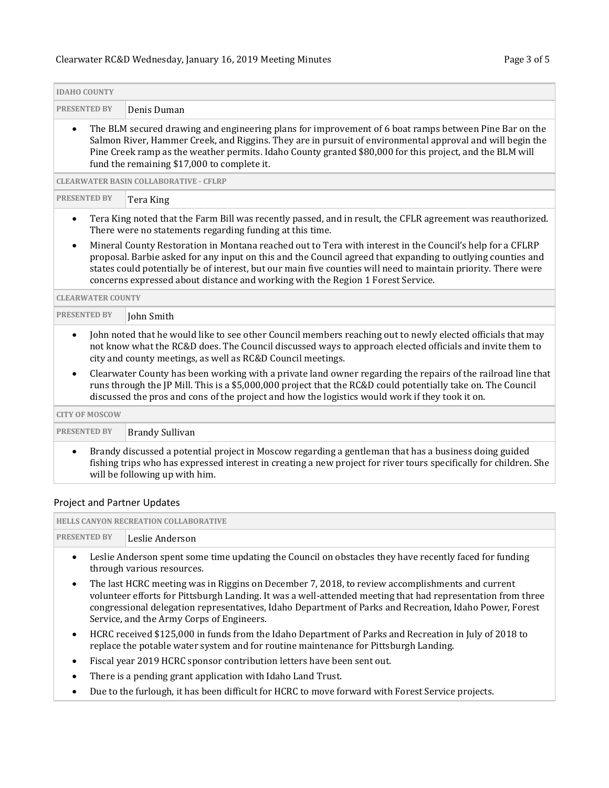### Clearwater RC&D [Wednesday, January 16, 2019](#page-0-0) Meeting Minutes Page 3 of 5

| <b>IDAHO COUNTY</b>                                                                                                                                                                                                                                                                                                                          |                                                                                                                                                                                                                                                                                                                                                                                                                               |  |  |  |  |  |  |
|----------------------------------------------------------------------------------------------------------------------------------------------------------------------------------------------------------------------------------------------------------------------------------------------------------------------------------------------|-------------------------------------------------------------------------------------------------------------------------------------------------------------------------------------------------------------------------------------------------------------------------------------------------------------------------------------------------------------------------------------------------------------------------------|--|--|--|--|--|--|
| <b>PRESENTED BY</b>                                                                                                                                                                                                                                                                                                                          | Denis Duman                                                                                                                                                                                                                                                                                                                                                                                                                   |  |  |  |  |  |  |
| $\bullet$                                                                                                                                                                                                                                                                                                                                    | The BLM secured drawing and engineering plans for improvement of 6 boat ramps between Pine Bar on the<br>Salmon River, Hammer Creek, and Riggins. They are in pursuit of environmental approval and will begin the<br>Pine Creek ramp as the weather permits. Idaho County granted \$80,000 for this project, and the BLM will<br>fund the remaining \$17,000 to complete it.                                                 |  |  |  |  |  |  |
|                                                                                                                                                                                                                                                                                                                                              | <b>CLEARWATER BASIN COLLABORATIVE - CFLRP</b>                                                                                                                                                                                                                                                                                                                                                                                 |  |  |  |  |  |  |
| <b>PRESENTED BY</b>                                                                                                                                                                                                                                                                                                                          | Tera King                                                                                                                                                                                                                                                                                                                                                                                                                     |  |  |  |  |  |  |
| $\bullet$                                                                                                                                                                                                                                                                                                                                    | Tera King noted that the Farm Bill was recently passed, and in result, the CFLR agreement was reauthorized.<br>There were no statements regarding funding at this time.                                                                                                                                                                                                                                                       |  |  |  |  |  |  |
| $\bullet$                                                                                                                                                                                                                                                                                                                                    | Mineral County Restoration in Montana reached out to Tera with interest in the Council's help for a CFLRP<br>proposal. Barbie asked for any input on this and the Council agreed that expanding to outlying counties and<br>states could potentially be of interest, but our main five counties will need to maintain priority. There were<br>concerns expressed about distance and working with the Region 1 Forest Service. |  |  |  |  |  |  |
| <b>CLEARWATER COUNTY</b>                                                                                                                                                                                                                                                                                                                     |                                                                                                                                                                                                                                                                                                                                                                                                                               |  |  |  |  |  |  |
| <b>PRESENTED BY</b>                                                                                                                                                                                                                                                                                                                          | John Smith                                                                                                                                                                                                                                                                                                                                                                                                                    |  |  |  |  |  |  |
| John noted that he would like to see other Council members reaching out to newly elected officials that may<br>$\bullet$<br>not know what the RC&D does. The Council discussed ways to approach elected officials and invite them to<br>city and county meetings, as well as RC&D Council meetings.                                          |                                                                                                                                                                                                                                                                                                                                                                                                                               |  |  |  |  |  |  |
| Clearwater County has been working with a private land owner regarding the repairs of the railroad line that<br>$\bullet$<br>runs through the JP Mill. This is a \$5,000,000 project that the RC&D could potentially take on. The Council<br>discussed the pros and cons of the project and how the logistics would work if they took it on. |                                                                                                                                                                                                                                                                                                                                                                                                                               |  |  |  |  |  |  |
| <b>CITY OF MOSCOW</b>                                                                                                                                                                                                                                                                                                                        |                                                                                                                                                                                                                                                                                                                                                                                                                               |  |  |  |  |  |  |
| <b>PRESENTED BY</b>                                                                                                                                                                                                                                                                                                                          | <b>Brandy Sullivan</b>                                                                                                                                                                                                                                                                                                                                                                                                        |  |  |  |  |  |  |
| Brandy discussed a potential project in Moscow regarding a gentleman that has a business doing guided<br>$\bullet$<br>fishing trips who has expressed interest in creating a new project for river tours specifically for children. She<br>will be following up with him.                                                                    |                                                                                                                                                                                                                                                                                                                                                                                                                               |  |  |  |  |  |  |

### Project and Partner Updates

|                     | <b>HELLS CANYON RECREATION COLLABORATIVE</b> |  |  |  |  |  |  |  |
|---------------------|----------------------------------------------|--|--|--|--|--|--|--|
| <b>PRESENTED BY</b> | Leslie Anderson                              |  |  |  |  |  |  |  |
|                     | .                                            |  |  |  |  |  |  |  |

- Leslie Anderson spent some time updating the Council on obstacles they have recently faced for funding through various resources.
- The last HCRC meeting was in Riggins on December 7, 2018, to review accomplishments and current volunteer efforts for Pittsburgh Landing. It was a well-attended meeting that had representation from three congressional delegation representatives, Idaho Department of Parks and Recreation, Idaho Power, Forest Service, and the Army Corps of Engineers.
- HCRC received \$125,000 in funds from the Idaho Department of Parks and Recreation in July of 2018 to replace the potable water system and for routine maintenance for Pittsburgh Landing.
- Fiscal year 2019 HCRC sponsor contribution letters have been sent out.
- There is a pending grant application with Idaho Land Trust.
- Due to the furlough, it has been difficult for HCRC to move forward with Forest Service projects.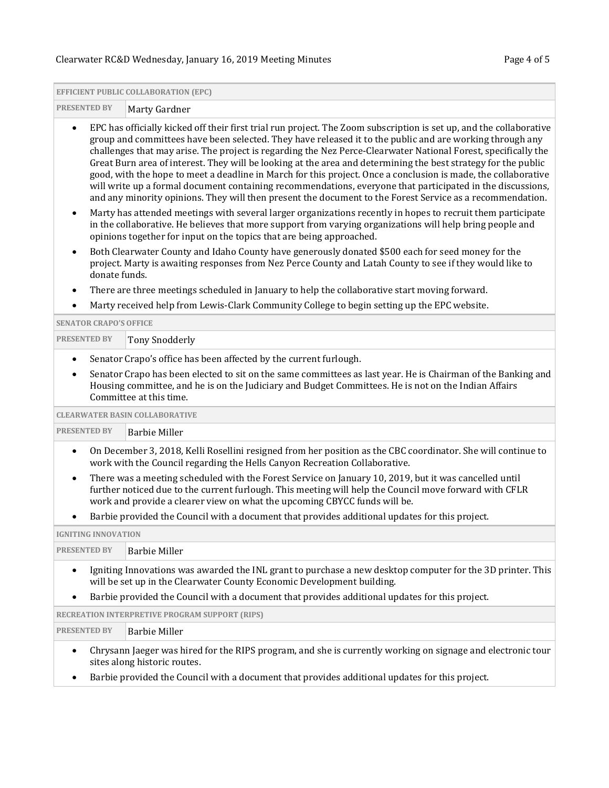# Clearwater RC&D [Wednesday, January 16, 2019](#page-0-0) Meeting Minutes Page 4 of 5

 $\overline{a}$ 

÷.

|                                                                                |                                                                                                                                                                                                                                                                                                                                                                                                                                                                                                                                                                                                                                                                                                                                                                                                                  | <b>EFFICIENT PUBLIC COLLABORATION (EPC)</b>                                                                                                                                                                                                                                                      |  |  |  |  |
|--------------------------------------------------------------------------------|------------------------------------------------------------------------------------------------------------------------------------------------------------------------------------------------------------------------------------------------------------------------------------------------------------------------------------------------------------------------------------------------------------------------------------------------------------------------------------------------------------------------------------------------------------------------------------------------------------------------------------------------------------------------------------------------------------------------------------------------------------------------------------------------------------------|--------------------------------------------------------------------------------------------------------------------------------------------------------------------------------------------------------------------------------------------------------------------------------------------------|--|--|--|--|
| <b>PRESENTED BY</b><br>Marty Gardner                                           |                                                                                                                                                                                                                                                                                                                                                                                                                                                                                                                                                                                                                                                                                                                                                                                                                  |                                                                                                                                                                                                                                                                                                  |  |  |  |  |
| $\bullet$                                                                      | EPC has officially kicked off their first trial run project. The Zoom subscription is set up, and the collaborative<br>group and committees have been selected. They have released it to the public and are working through any<br>challenges that may arise. The project is regarding the Nez Perce-Clearwater National Forest, specifically the<br>Great Burn area of interest. They will be looking at the area and determining the best strategy for the public<br>good, with the hope to meet a deadline in March for this project. Once a conclusion is made, the collaborative<br>will write up a formal document containing recommendations, everyone that participated in the discussions,<br>and any minority opinions. They will then present the document to the Forest Service as a recommendation. |                                                                                                                                                                                                                                                                                                  |  |  |  |  |
| $\bullet$                                                                      |                                                                                                                                                                                                                                                                                                                                                                                                                                                                                                                                                                                                                                                                                                                                                                                                                  | Marty has attended meetings with several larger organizations recently in hopes to recruit them participate<br>in the collaborative. He believes that more support from varying organizations will help bring people and<br>opinions together for input on the topics that are being approached. |  |  |  |  |
| $\bullet$                                                                      | donate funds.                                                                                                                                                                                                                                                                                                                                                                                                                                                                                                                                                                                                                                                                                                                                                                                                    | Both Clearwater County and Idaho County have generously donated \$500 each for seed money for the<br>project. Marty is awaiting responses from Nez Perce County and Latah County to see if they would like to                                                                                    |  |  |  |  |
| $\bullet$                                                                      |                                                                                                                                                                                                                                                                                                                                                                                                                                                                                                                                                                                                                                                                                                                                                                                                                  | There are three meetings scheduled in January to help the collaborative start moving forward.                                                                                                                                                                                                    |  |  |  |  |
| $\bullet$                                                                      |                                                                                                                                                                                                                                                                                                                                                                                                                                                                                                                                                                                                                                                                                                                                                                                                                  | Marty received help from Lewis-Clark Community College to begin setting up the EPC website.                                                                                                                                                                                                      |  |  |  |  |
|                                                                                | <b>SENATOR CRAPO'S OFFICE</b>                                                                                                                                                                                                                                                                                                                                                                                                                                                                                                                                                                                                                                                                                                                                                                                    |                                                                                                                                                                                                                                                                                                  |  |  |  |  |
| <b>PRESENTED BY</b>                                                            |                                                                                                                                                                                                                                                                                                                                                                                                                                                                                                                                                                                                                                                                                                                                                                                                                  | <b>Tony Snodderly</b>                                                                                                                                                                                                                                                                            |  |  |  |  |
| Senator Crapo's office has been affected by the current furlough.<br>$\bullet$ |                                                                                                                                                                                                                                                                                                                                                                                                                                                                                                                                                                                                                                                                                                                                                                                                                  |                                                                                                                                                                                                                                                                                                  |  |  |  |  |
| $\bullet$                                                                      | Senator Crapo has been elected to sit on the same committees as last year. He is Chairman of the Banking and<br>Housing committee, and he is on the Judiciary and Budget Committees. He is not on the Indian Affairs<br>Committee at this time.                                                                                                                                                                                                                                                                                                                                                                                                                                                                                                                                                                  |                                                                                                                                                                                                                                                                                                  |  |  |  |  |
|                                                                                |                                                                                                                                                                                                                                                                                                                                                                                                                                                                                                                                                                                                                                                                                                                                                                                                                  | <b>CLEARWATER BASIN COLLABORATIVE</b>                                                                                                                                                                                                                                                            |  |  |  |  |
| <b>PRESENTED BY</b><br><b>Barbie Miller</b>                                    |                                                                                                                                                                                                                                                                                                                                                                                                                                                                                                                                                                                                                                                                                                                                                                                                                  |                                                                                                                                                                                                                                                                                                  |  |  |  |  |
| $\bullet$                                                                      |                                                                                                                                                                                                                                                                                                                                                                                                                                                                                                                                                                                                                                                                                                                                                                                                                  | On December 3, 2018, Kelli Rosellini resigned from her position as the CBC coordinator. She will continue to<br>work with the Council regarding the Hells Canyon Recreation Collaborative.                                                                                                       |  |  |  |  |
| $\bullet$                                                                      | There was a meeting scheduled with the Forest Service on January 10, 2019, but it was cancelled until<br>further noticed due to the current furlough. This meeting will help the Council move forward with CFLR<br>work and provide a clearer view on what the upcoming CBYCC funds will be.                                                                                                                                                                                                                                                                                                                                                                                                                                                                                                                     |                                                                                                                                                                                                                                                                                                  |  |  |  |  |
| $\bullet$                                                                      |                                                                                                                                                                                                                                                                                                                                                                                                                                                                                                                                                                                                                                                                                                                                                                                                                  | Barbie provided the Council with a document that provides additional updates for this project.                                                                                                                                                                                                   |  |  |  |  |
|                                                                                | <b>IGNITING INNOVATION</b>                                                                                                                                                                                                                                                                                                                                                                                                                                                                                                                                                                                                                                                                                                                                                                                       |                                                                                                                                                                                                                                                                                                  |  |  |  |  |
| <b>PRESENTED BY</b>                                                            |                                                                                                                                                                                                                                                                                                                                                                                                                                                                                                                                                                                                                                                                                                                                                                                                                  | <b>Barbie Miller</b>                                                                                                                                                                                                                                                                             |  |  |  |  |
| $\bullet$                                                                      | Igniting Innovations was awarded the INL grant to purchase a new desktop computer for the 3D printer. This<br>will be set up in the Clearwater County Economic Development building.                                                                                                                                                                                                                                                                                                                                                                                                                                                                                                                                                                                                                             |                                                                                                                                                                                                                                                                                                  |  |  |  |  |
| $\bullet$                                                                      | Barbie provided the Council with a document that provides additional updates for this project.                                                                                                                                                                                                                                                                                                                                                                                                                                                                                                                                                                                                                                                                                                                   |                                                                                                                                                                                                                                                                                                  |  |  |  |  |
|                                                                                |                                                                                                                                                                                                                                                                                                                                                                                                                                                                                                                                                                                                                                                                                                                                                                                                                  | RECREATION INTERPRETIVE PROGRAM SUPPORT (RIPS)                                                                                                                                                                                                                                                   |  |  |  |  |
| <b>PRESENTED BY</b>                                                            |                                                                                                                                                                                                                                                                                                                                                                                                                                                                                                                                                                                                                                                                                                                                                                                                                  | <b>Barbie Miller</b>                                                                                                                                                                                                                                                                             |  |  |  |  |
| $\bullet$                                                                      |                                                                                                                                                                                                                                                                                                                                                                                                                                                                                                                                                                                                                                                                                                                                                                                                                  | Chrysann Jaeger was hired for the RIPS program, and she is currently working on signage and electronic tour<br>sites along historic routes.                                                                                                                                                      |  |  |  |  |
| ٠                                                                              | Barbie provided the Council with a document that provides additional updates for this project.                                                                                                                                                                                                                                                                                                                                                                                                                                                                                                                                                                                                                                                                                                                   |                                                                                                                                                                                                                                                                                                  |  |  |  |  |